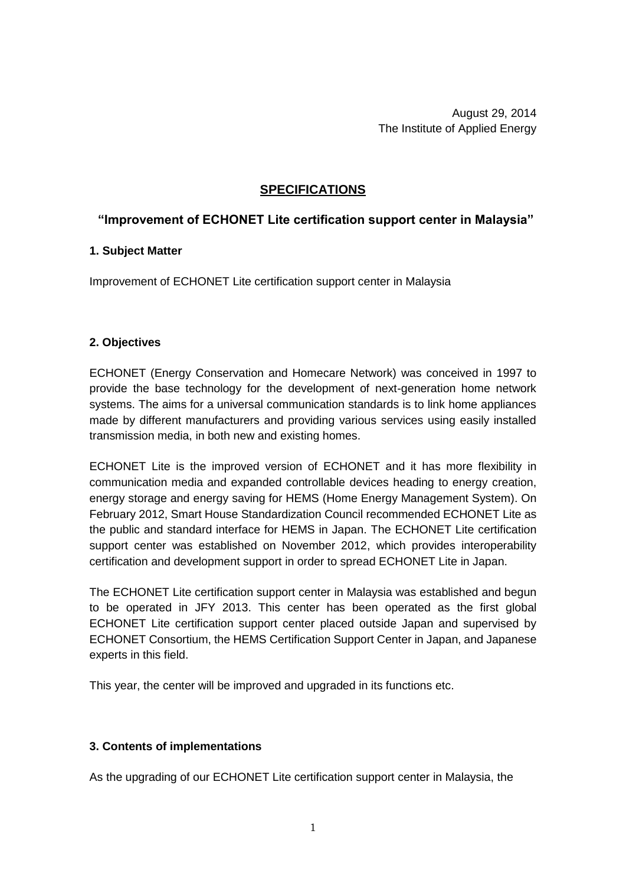August 29, 2014 The Institute of Applied Energy

## **SPECIFICATIONS**

# **"Improvement of ECHONET Lite certification support center in Malaysia"**

### **1. Subject Matter**

Improvement of ECHONET Lite certification support center in Malaysia

### **2. Objectives**

ECHONET (Energy Conservation and Homecare Network) was conceived in 1997 to provide the base technology for the development of next-generation home network systems. The aims for a universal communication standards is to link home appliances made by different manufacturers and providing various services using easily installed transmission media, in both new and existing homes.

ECHONET Lite is the improved version of ECHONET and it has more flexibility in communication media and expanded controllable devices heading to energy creation, energy storage and energy saving for HEMS (Home Energy Management System). On February 2012, Smart House Standardization Council recommended ECHONET Lite as the public and standard interface for HEMS in Japan. The ECHONET Lite certification support center was established on November 2012, which provides interoperability certification and development support in order to spread ECHONET Lite in Japan.

The ECHONET Lite certification support center in Malaysia was established and begun to be operated in JFY 2013. This center has been operated as the first global ECHONET Lite certification support center placed outside Japan and supervised by ECHONET Consortium, the HEMS Certification Support Center in Japan, and Japanese experts in this field.

This year, the center will be improved and upgraded in its functions etc.

### **3. Contents of implementations**

As the upgrading of our ECHONET Lite certification support center in Malaysia, the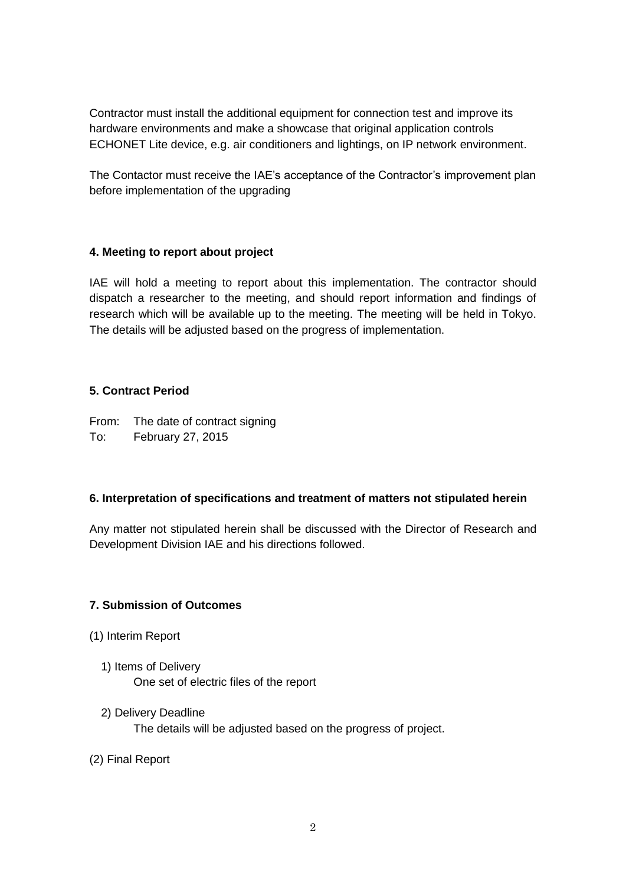Contractor must install the additional equipment for connection test and improve its hardware environments and make a showcase that original application controls ECHONET Lite device, e.g. air conditioners and lightings, on IP network environment.

The Contactor must receive the IAE's acceptance of the Contractor's improvement plan before implementation of the upgrading

# **4. Meeting to report about project**

IAE will hold a meeting to report about this implementation. The contractor should dispatch a researcher to the meeting, and should report information and findings of research which will be available up to the meeting. The meeting will be held in Tokyo. The details will be adjusted based on the progress of implementation.

### **5. Contract Period**

From: The date of contract signing To: February 27, 2015

### **6. Interpretation of specifications and treatment of matters not stipulated herein**

Any matter not stipulated herein shall be discussed with the Director of Research and Development Division IAE and his directions followed.

# **7. Submission of Outcomes**

- (1) Interim Report
	- 1) Items of Delivery One set of electric files of the report
	- 2) Delivery Deadline The details will be adjusted based on the progress of project.
- (2) Final Report